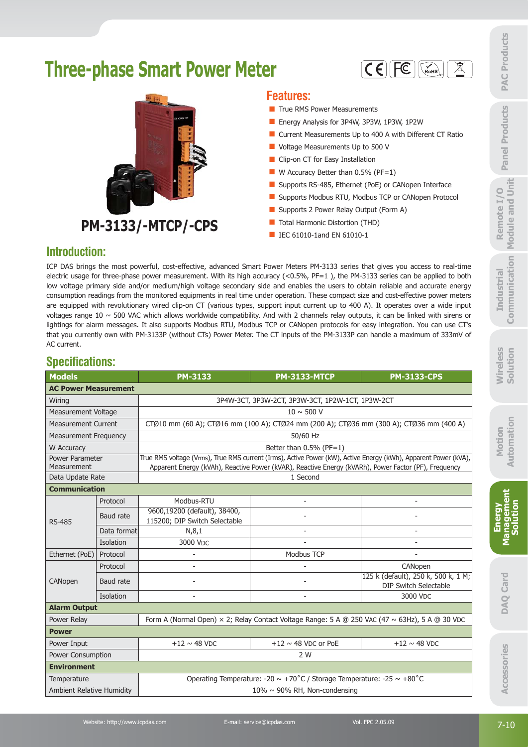# **Three-phase Smart Power Meter**





#### **Features:**

- $\blacksquare$  True RMS Power Measurements
- Energy Analysis for 3P4W, 3P3W, 1P3W, 1P2W
- Current Measurements Up to 400 A with Different CT Ratio
- Voltage Measurements Up to 500 V
- **Clip-on CT for Easy Installation**
- $\blacksquare$  W Accuracy Better than 0.5% (PF=1)
	- Supports RS-485, Ethernet (PoE) or CANopen Interface
- Supports Modbus RTU, Modbus TCP or CANopen Protocol
- Supports 2 Power Relay Output (Form A)
- Total Harmonic Distortion (THD)
- IEC 61010-1and EN 61010-1

#### **Introduction:**

### **Specifications:**

|                                                                                                                                                                                             |             |                                                               | <b>Features:</b>                                                                 |                                                                                                                                                                                                                                                                                                                                                                                                                                                                                                                                                                                                                                                                                                                                                                                                                                                                                                                                                                       |
|---------------------------------------------------------------------------------------------------------------------------------------------------------------------------------------------|-------------|---------------------------------------------------------------|----------------------------------------------------------------------------------|-----------------------------------------------------------------------------------------------------------------------------------------------------------------------------------------------------------------------------------------------------------------------------------------------------------------------------------------------------------------------------------------------------------------------------------------------------------------------------------------------------------------------------------------------------------------------------------------------------------------------------------------------------------------------------------------------------------------------------------------------------------------------------------------------------------------------------------------------------------------------------------------------------------------------------------------------------------------------|
|                                                                                                                                                                                             |             |                                                               |                                                                                  |                                                                                                                                                                                                                                                                                                                                                                                                                                                                                                                                                                                                                                                                                                                                                                                                                                                                                                                                                                       |
|                                                                                                                                                                                             |             |                                                               | <b>True RMS Power Measurements</b><br>Energy Analysis for 3P4W, 3P3W, 1P3W, 1P2W |                                                                                                                                                                                                                                                                                                                                                                                                                                                                                                                                                                                                                                                                                                                                                                                                                                                                                                                                                                       |
|                                                                                                                                                                                             |             |                                                               |                                                                                  |                                                                                                                                                                                                                                                                                                                                                                                                                                                                                                                                                                                                                                                                                                                                                                                                                                                                                                                                                                       |
|                                                                                                                                                                                             |             |                                                               |                                                                                  | Current Measurements Up to 400 A with Different CT Ratio                                                                                                                                                                                                                                                                                                                                                                                                                                                                                                                                                                                                                                                                                                                                                                                                                                                                                                              |
|                                                                                                                                                                                             |             |                                                               | Voltage Measurements Up to 500 V                                                 |                                                                                                                                                                                                                                                                                                                                                                                                                                                                                                                                                                                                                                                                                                                                                                                                                                                                                                                                                                       |
|                                                                                                                                                                                             |             |                                                               | Clip-on CT for Easy Installation                                                 |                                                                                                                                                                                                                                                                                                                                                                                                                                                                                                                                                                                                                                                                                                                                                                                                                                                                                                                                                                       |
|                                                                                                                                                                                             |             |                                                               | W Accuracy Better than $0.5\%$ (PF=1)                                            |                                                                                                                                                                                                                                                                                                                                                                                                                                                                                                                                                                                                                                                                                                                                                                                                                                                                                                                                                                       |
|                                                                                                                                                                                             |             |                                                               |                                                                                  | Supports RS-485, Ethernet (PoE) or CANopen Interface                                                                                                                                                                                                                                                                                                                                                                                                                                                                                                                                                                                                                                                                                                                                                                                                                                                                                                                  |
|                                                                                                                                                                                             |             |                                                               |                                                                                  | Supports Modbus RTU, Modbus TCP or CANopen Protocol                                                                                                                                                                                                                                                                                                                                                                                                                                                                                                                                                                                                                                                                                                                                                                                                                                                                                                                   |
|                                                                                                                                                                                             |             |                                                               | Supports 2 Power Relay Output (Form A)                                           |                                                                                                                                                                                                                                                                                                                                                                                                                                                                                                                                                                                                                                                                                                                                                                                                                                                                                                                                                                       |
| <b>PM-3133/-MTCP/-CPS</b>                                                                                                                                                                   |             |                                                               | Total Harmonic Distortion (THD)                                                  |                                                                                                                                                                                                                                                                                                                                                                                                                                                                                                                                                                                                                                                                                                                                                                                                                                                                                                                                                                       |
|                                                                                                                                                                                             |             |                                                               | IEC 61010-1and EN 61010-1                                                        |                                                                                                                                                                                                                                                                                                                                                                                                                                                                                                                                                                                                                                                                                                                                                                                                                                                                                                                                                                       |
| <b>Introduction:</b>                                                                                                                                                                        |             |                                                               |                                                                                  |                                                                                                                                                                                                                                                                                                                                                                                                                                                                                                                                                                                                                                                                                                                                                                                                                                                                                                                                                                       |
|                                                                                                                                                                                             |             |                                                               |                                                                                  | electric usage for three-phase power measurement. With its high accuracy (<0.5%, PF=1), the PM-3133 series can be applied to both<br>low voltage primary side and/or medium/high voltage secondary side and enables the users to obtain reliable and accurate energy<br>consumption readings from the monitored equipments in real time under operation. These compact size and cost-effective power meters<br>are equipped with revolutionary wired clip-on CT (various types, support input current up to 400 A). It operates over a wide input<br>voltages range $10 \sim 500$ VAC which allows worldwide compatibility. And with 2 channels relay outputs, it can be linked with sirens or<br>lightings for alarm messages. It also supports Modbus RTU, Modbus TCP or CANopen protocols for easy integration. You can use CT's<br>that you currently own with PM-3133P (without CTs) Power Meter. The CT inputs of the PM-3133P can handle a maximum of 333mV of |
|                                                                                                                                                                                             |             |                                                               |                                                                                  |                                                                                                                                                                                                                                                                                                                                                                                                                                                                                                                                                                                                                                                                                                                                                                                                                                                                                                                                                                       |
| AC current.<br><b>Specifications:</b>                                                                                                                                                       |             |                                                               |                                                                                  |                                                                                                                                                                                                                                                                                                                                                                                                                                                                                                                                                                                                                                                                                                                                                                                                                                                                                                                                                                       |
|                                                                                                                                                                                             |             | <b>PM-3133</b>                                                | <b>PM-3133-MTCP</b>                                                              | <b>PM-3133-CPS</b>                                                                                                                                                                                                                                                                                                                                                                                                                                                                                                                                                                                                                                                                                                                                                                                                                                                                                                                                                    |
|                                                                                                                                                                                             |             |                                                               |                                                                                  |                                                                                                                                                                                                                                                                                                                                                                                                                                                                                                                                                                                                                                                                                                                                                                                                                                                                                                                                                                       |
|                                                                                                                                                                                             |             |                                                               | 3P4W-3CT, 3P3W-2CT, 3P3W-3CT, 1P2W-1CT, 1P3W-2CT                                 |                                                                                                                                                                                                                                                                                                                                                                                                                                                                                                                                                                                                                                                                                                                                                                                                                                                                                                                                                                       |
|                                                                                                                                                                                             |             |                                                               | $10 \sim 500$ V                                                                  |                                                                                                                                                                                                                                                                                                                                                                                                                                                                                                                                                                                                                                                                                                                                                                                                                                                                                                                                                                       |
|                                                                                                                                                                                             |             |                                                               |                                                                                  | CTØ10 mm (60 A); CTØ16 mm (100 A); CTØ24 mm (200 A); CTØ36 mm (300 A); CTØ36 mm (400 A)                                                                                                                                                                                                                                                                                                                                                                                                                                                                                                                                                                                                                                                                                                                                                                                                                                                                               |
|                                                                                                                                                                                             |             |                                                               | 50/60 Hz                                                                         |                                                                                                                                                                                                                                                                                                                                                                                                                                                                                                                                                                                                                                                                                                                                                                                                                                                                                                                                                                       |
| <b>Models</b><br><b>AC Power Measurement</b><br>Wiring<br>Measurement Voltage<br><b>Measurement Current</b><br><b>Measurement Frequency</b><br>W Accuracy<br>Power Parameter<br>Measurement |             |                                                               | Better than $0.5\%$ (PF=1)                                                       | True RMS voltage (Vrms), True RMS current (Irms), Active Power (kW), Active Energy (kWh), Apparent Power (kVA),<br>Apparent Energy (kVAh), Reactive Power (kVAR), Reactive Energy (kVARh), Power Factor (PF), Frequency                                                                                                                                                                                                                                                                                                                                                                                                                                                                                                                                                                                                                                                                                                                                               |
|                                                                                                                                                                                             |             |                                                               | 1 Second                                                                         |                                                                                                                                                                                                                                                                                                                                                                                                                                                                                                                                                                                                                                                                                                                                                                                                                                                                                                                                                                       |
|                                                                                                                                                                                             |             |                                                               |                                                                                  |                                                                                                                                                                                                                                                                                                                                                                                                                                                                                                                                                                                                                                                                                                                                                                                                                                                                                                                                                                       |
|                                                                                                                                                                                             | Protocol    | Modbus-RTU                                                    | L.                                                                               | $\overline{\phantom{a}}$                                                                                                                                                                                                                                                                                                                                                                                                                                                                                                                                                                                                                                                                                                                                                                                                                                                                                                                                              |
|                                                                                                                                                                                             | Baud rate   | 9600,19200 (default), 38400,<br>115200; DIP Switch Selectable |                                                                                  |                                                                                                                                                                                                                                                                                                                                                                                                                                                                                                                                                                                                                                                                                                                                                                                                                                                                                                                                                                       |
|                                                                                                                                                                                             | Data format | N, 8, 1                                                       | $\overline{\phantom{a}}$                                                         | $\overline{a}$                                                                                                                                                                                                                                                                                                                                                                                                                                                                                                                                                                                                                                                                                                                                                                                                                                                                                                                                                        |
|                                                                                                                                                                                             | Isolation   | 3000 VDC                                                      |                                                                                  |                                                                                                                                                                                                                                                                                                                                                                                                                                                                                                                                                                                                                                                                                                                                                                                                                                                                                                                                                                       |
|                                                                                                                                                                                             | Protocol    |                                                               | Modbus TCP                                                                       |                                                                                                                                                                                                                                                                                                                                                                                                                                                                                                                                                                                                                                                                                                                                                                                                                                                                                                                                                                       |
|                                                                                                                                                                                             | Protocol    |                                                               |                                                                                  | CANopen                                                                                                                                                                                                                                                                                                                                                                                                                                                                                                                                                                                                                                                                                                                                                                                                                                                                                                                                                               |
|                                                                                                                                                                                             | Baud rate   |                                                               |                                                                                  | 125 k (default), 250 k, 500 k, 1 M;                                                                                                                                                                                                                                                                                                                                                                                                                                                                                                                                                                                                                                                                                                                                                                                                                                                                                                                                   |
| Data Update Rate<br><b>Communication</b><br><b>RS-485</b><br>Ethernet (PoE)<br>CANopen                                                                                                      | Isolation   |                                                               |                                                                                  | DIP Switch Selectable<br>3000 VDC                                                                                                                                                                                                                                                                                                                                                                                                                                                                                                                                                                                                                                                                                                                                                                                                                                                                                                                                     |
|                                                                                                                                                                                             |             |                                                               |                                                                                  |                                                                                                                                                                                                                                                                                                                                                                                                                                                                                                                                                                                                                                                                                                                                                                                                                                                                                                                                                                       |
|                                                                                                                                                                                             |             |                                                               |                                                                                  | Form A (Normal Open) × 2; Relay Contact Voltage Range: 5 A @ 250 VAC (47 ~ 63Hz), 5 A @ 30 VDC                                                                                                                                                                                                                                                                                                                                                                                                                                                                                                                                                                                                                                                                                                                                                                                                                                                                        |
|                                                                                                                                                                                             |             |                                                               |                                                                                  |                                                                                                                                                                                                                                                                                                                                                                                                                                                                                                                                                                                                                                                                                                                                                                                                                                                                                                                                                                       |
|                                                                                                                                                                                             |             | $+12 \sim 48$ VDC                                             | +12 $\sim$ 48 VDC or PoE                                                         | $+12 \sim 48$ VDC                                                                                                                                                                                                                                                                                                                                                                                                                                                                                                                                                                                                                                                                                                                                                                                                                                                                                                                                                     |
|                                                                                                                                                                                             |             |                                                               | 2 W                                                                              |                                                                                                                                                                                                                                                                                                                                                                                                                                                                                                                                                                                                                                                                                                                                                                                                                                                                                                                                                                       |
| <b>Alarm Output</b><br>Power Relay<br><b>Power</b><br>Power Input<br>Power Consumption<br><b>Environment</b><br>Temperature                                                                 |             |                                                               | Operating Temperature: -20 $\sim$ +70°C / Storage Temperature: -25 $\sim$ +80°C  |                                                                                                                                                                                                                                                                                                                                                                                                                                                                                                                                                                                                                                                                                                                                                                                                                                                                                                                                                                       |